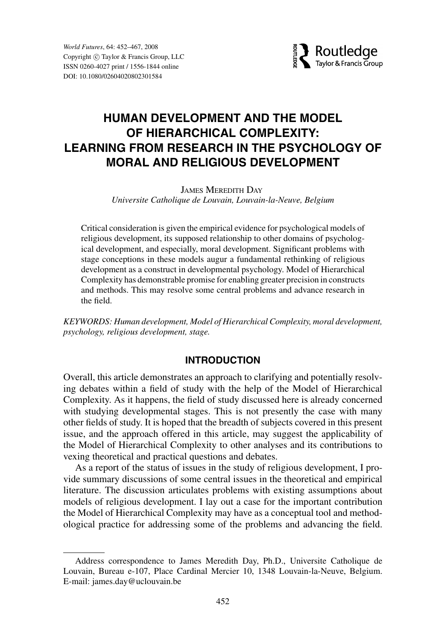*World Futures*, 64: 452–467, 2008 Copyright  $\odot$  Taylor & Francis Group, LLC ISSN 0260-4027 print / 1556-1844 online DOI: 10.1080/02604020802301584



# **HUMAN DEVELOPMENT AND THE MODEL OF HIERARCHICAL COMPLEXITY: LEARNING FROM RESEARCH IN THE PSYCHOLOGY OF MORAL AND RELIGIOUS DEVELOPMENT**

JAMES MEREDITH DAY *Universite Catholique de Louvain, Louvain-la-Neuve, Belgium*

Critical consideration is given the empirical evidence for psychological models of religious development, its supposed relationship to other domains of psychological development, and especially, moral development. Significant problems with stage conceptions in these models augur a fundamental rethinking of religious development as a construct in developmental psychology. Model of Hierarchical Complexity has demonstrable promise for enabling greater precision in constructs and methods. This may resolve some central problems and advance research in the field.

*KEYWORDS: Human development, Model of Hierarchical Complexity, moral development, psychology, religious development, stage.*

# **INTRODUCTION**

Overall, this article demonstrates an approach to clarifying and potentially resolving debates within a field of study with the help of the Model of Hierarchical Complexity. As it happens, the field of study discussed here is already concerned with studying developmental stages. This is not presently the case with many other fields of study. It is hoped that the breadth of subjects covered in this present issue, and the approach offered in this article, may suggest the applicability of the Model of Hierarchical Complexity to other analyses and its contributions to vexing theoretical and practical questions and debates.

As a report of the status of issues in the study of religious development, I provide summary discussions of some central issues in the theoretical and empirical literature. The discussion articulates problems with existing assumptions about models of religious development. I lay out a case for the important contribution the Model of Hierarchical Complexity may have as a conceptual tool and methodological practice for addressing some of the problems and advancing the field.

Address correspondence to James Meredith Day, Ph.D., Universite Catholique de Louvain, Bureau e-107, Place Cardinal Mercier 10, 1348 Louvain-la-Neuve, Belgium. E-mail: james.day@uclouvain.be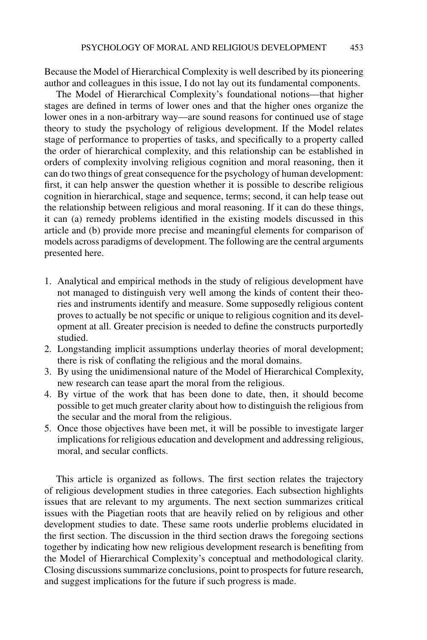Because the Model of Hierarchical Complexity is well described by its pioneering author and colleagues in this issue, I do not lay out its fundamental components.

The Model of Hierarchical Complexity's foundational notions—that higher stages are defined in terms of lower ones and that the higher ones organize the lower ones in a non-arbitrary way—are sound reasons for continued use of stage theory to study the psychology of religious development. If the Model relates stage of performance to properties of tasks, and specifically to a property called the order of hierarchical complexity, and this relationship can be established in orders of complexity involving religious cognition and moral reasoning, then it can do two things of great consequence for the psychology of human development: first, it can help answer the question whether it is possible to describe religious cognition in hierarchical, stage and sequence, terms; second, it can help tease out the relationship between religious and moral reasoning. If it can do these things, it can (a) remedy problems identified in the existing models discussed in this article and (b) provide more precise and meaningful elements for comparison of models across paradigms of development. The following are the central arguments presented here.

- 1. Analytical and empirical methods in the study of religious development have not managed to distinguish very well among the kinds of content their theories and instruments identify and measure. Some supposedly religious content proves to actually be not specific or unique to religious cognition and its development at all. Greater precision is needed to define the constructs purportedly studied.
- 2. Longstanding implicit assumptions underlay theories of moral development; there is risk of conflating the religious and the moral domains.
- 3. By using the unidimensional nature of the Model of Hierarchical Complexity, new research can tease apart the moral from the religious.
- 4. By virtue of the work that has been done to date, then, it should become possible to get much greater clarity about how to distinguish the religious from the secular and the moral from the religious.
- 5. Once those objectives have been met, it will be possible to investigate larger implications for religious education and development and addressing religious, moral, and secular conflicts.

This article is organized as follows. The first section relates the trajectory of religious development studies in three categories. Each subsection highlights issues that are relevant to my arguments. The next section summarizes critical issues with the Piagetian roots that are heavily relied on by religious and other development studies to date. These same roots underlie problems elucidated in the first section. The discussion in the third section draws the foregoing sections together by indicating how new religious development research is benefiting from the Model of Hierarchical Complexity's conceptual and methodological clarity. Closing discussions summarize conclusions, point to prospects for future research, and suggest implications for the future if such progress is made.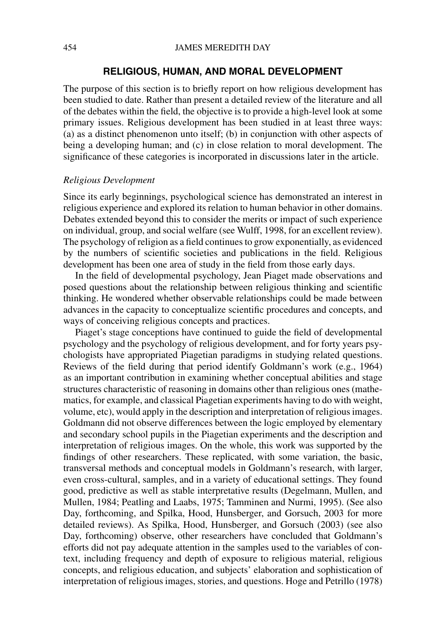### **RELIGIOUS, HUMAN, AND MORAL DEVELOPMENT**

The purpose of this section is to briefly report on how religious development has been studied to date. Rather than present a detailed review of the literature and all of the debates within the field, the objective is to provide a high-level look at some primary issues. Religious development has been studied in at least three ways: (a) as a distinct phenomenon unto itself; (b) in conjunction with other aspects of being a developing human; and (c) in close relation to moral development. The significance of these categories is incorporated in discussions later in the article.

### *Religious Development*

Since its early beginnings, psychological science has demonstrated an interest in religious experience and explored its relation to human behavior in other domains. Debates extended beyond this to consider the merits or impact of such experience on individual, group, and social welfare (see Wulff, 1998, for an excellent review). The psychology of religion as a field continues to grow exponentially, as evidenced by the numbers of scientific societies and publications in the field. Religious development has been one area of study in the field from those early days.

In the field of developmental psychology, Jean Piaget made observations and posed questions about the relationship between religious thinking and scientific thinking. He wondered whether observable relationships could be made between advances in the capacity to conceptualize scientific procedures and concepts, and ways of conceiving religious concepts and practices.

Piaget's stage conceptions have continued to guide the field of developmental psychology and the psychology of religious development, and for forty years psychologists have appropriated Piagetian paradigms in studying related questions. Reviews of the field during that period identify Goldmann's work (e.g., 1964) as an important contribution in examining whether conceptual abilities and stage structures characteristic of reasoning in domains other than religious ones (mathematics, for example, and classical Piagetian experiments having to do with weight, volume, etc), would apply in the description and interpretation of religious images. Goldmann did not observe differences between the logic employed by elementary and secondary school pupils in the Piagetian experiments and the description and interpretation of religious images. On the whole, this work was supported by the findings of other researchers. These replicated, with some variation, the basic, transversal methods and conceptual models in Goldmann's research, with larger, even cross-cultural, samples, and in a variety of educational settings. They found good, predictive as well as stable interpretative results (Degelmann, Mullen, and Mullen, 1984; Peatling and Laabs, 1975; Tamminen and Nurmi, 1995). (See also Day, forthcoming, and Spilka, Hood, Hunsberger, and Gorsuch, 2003 for more detailed reviews). As Spilka, Hood, Hunsberger, and Gorsuch (2003) (see also Day, forthcoming) observe, other researchers have concluded that Goldmann's efforts did not pay adequate attention in the samples used to the variables of context, including frequency and depth of exposure to religious material, religious concepts, and religious education, and subjects' elaboration and sophistication of interpretation of religious images, stories, and questions. Hoge and Petrillo (1978)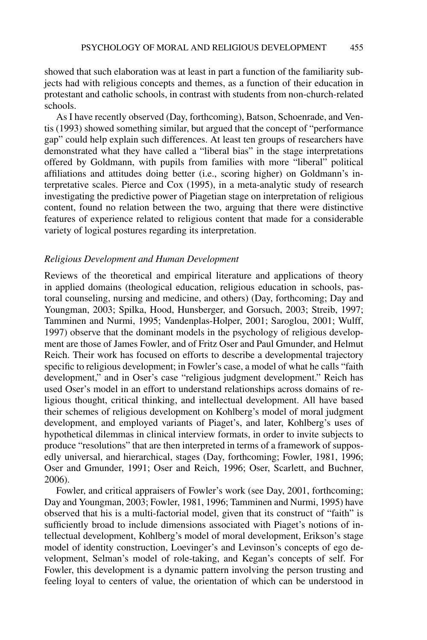showed that such elaboration was at least in part a function of the familiarity subjects had with religious concepts and themes, as a function of their education in protestant and catholic schools, in contrast with students from non-church-related schools.

As I have recently observed (Day, forthcoming), Batson, Schoenrade, and Ventis (1993) showed something similar, but argued that the concept of "performance gap" could help explain such differences. At least ten groups of researchers have demonstrated what they have called a "liberal bias" in the stage interpretations offered by Goldmann, with pupils from families with more "liberal" political affiliations and attitudes doing better (i.e., scoring higher) on Goldmann's interpretative scales. Pierce and Cox (1995), in a meta-analytic study of research investigating the predictive power of Piagetian stage on interpretation of religious content, found no relation between the two, arguing that there were distinctive features of experience related to religious content that made for a considerable variety of logical postures regarding its interpretation.

### *Religious Development and Human Development*

Reviews of the theoretical and empirical literature and applications of theory in applied domains (theological education, religious education in schools, pastoral counseling, nursing and medicine, and others) (Day, forthcoming; Day and Youngman, 2003; Spilka, Hood, Hunsberger, and Gorsuch, 2003; Streib, 1997; Tamminen and Nurmi, 1995; Vandenplas-Holper, 2001; Saroglou, 2001; Wulff, 1997) observe that the dominant models in the psychology of religious development are those of James Fowler, and of Fritz Oser and Paul Gmunder, and Helmut Reich. Their work has focused on efforts to describe a developmental trajectory specific to religious development; in Fowler's case, a model of what he calls "faith development," and in Oser's case "religious judgment development." Reich has used Oser's model in an effort to understand relationships across domains of religious thought, critical thinking, and intellectual development. All have based their schemes of religious development on Kohlberg's model of moral judgment development, and employed variants of Piaget's, and later, Kohlberg's uses of hypothetical dilemmas in clinical interview formats, in order to invite subjects to produce "resolutions" that are then interpreted in terms of a framework of supposedly universal, and hierarchical, stages (Day, forthcoming; Fowler, 1981, 1996; Oser and Gmunder, 1991; Oser and Reich, 1996; Oser, Scarlett, and Buchner, 2006).

Fowler, and critical appraisers of Fowler's work (see Day, 2001, forthcoming; Day and Youngman, 2003; Fowler, 1981, 1996; Tamminen and Nurmi, 1995) have observed that his is a multi-factorial model, given that its construct of "faith" is sufficiently broad to include dimensions associated with Piaget's notions of intellectual development, Kohlberg's model of moral development, Erikson's stage model of identity construction, Loevinger's and Levinson's concepts of ego development, Selman's model of role-taking, and Kegan's concepts of self. For Fowler, this development is a dynamic pattern involving the person trusting and feeling loyal to centers of value, the orientation of which can be understood in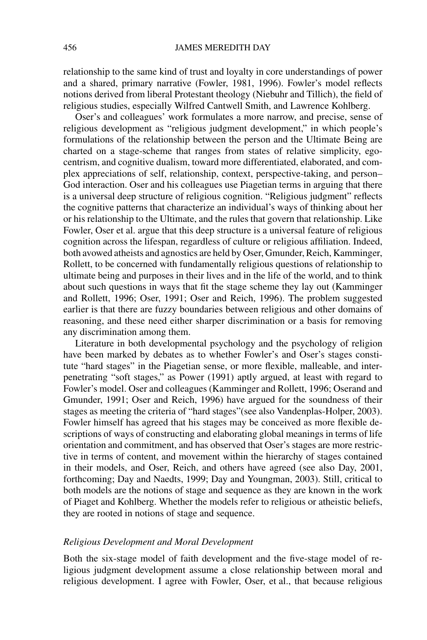relationship to the same kind of trust and loyalty in core understandings of power and a shared, primary narrative (Fowler, 1981, 1996). Fowler's model reflects notions derived from liberal Protestant theology (Niebuhr and Tillich), the field of religious studies, especially Wilfred Cantwell Smith, and Lawrence Kohlberg.

Oser's and colleagues' work formulates a more narrow, and precise, sense of religious development as "religious judgment development," in which people's formulations of the relationship between the person and the Ultimate Being are charted on a stage-scheme that ranges from states of relative simplicity, egocentrism, and cognitive dualism, toward more differentiated, elaborated, and complex appreciations of self, relationship, context, perspective-taking, and person– God interaction. Oser and his colleagues use Piagetian terms in arguing that there is a universal deep structure of religious cognition. "Religious judgment" reflects the cognitive patterns that characterize an individual's ways of thinking about her or his relationship to the Ultimate, and the rules that govern that relationship. Like Fowler, Oser et al. argue that this deep structure is a universal feature of religious cognition across the lifespan, regardless of culture or religious affiliation. Indeed, both avowed atheists and agnostics are held by Oser, Gmunder, Reich, Kamminger, Rollett, to be concerned with fundamentally religious questions of relationship to ultimate being and purposes in their lives and in the life of the world, and to think about such questions in ways that fit the stage scheme they lay out (Kamminger and Rollett, 1996; Oser, 1991; Oser and Reich, 1996). The problem suggested earlier is that there are fuzzy boundaries between religious and other domains of reasoning, and these need either sharper discrimination or a basis for removing any discrimination among them.

Literature in both developmental psychology and the psychology of religion have been marked by debates as to whether Fowler's and Oser's stages constitute "hard stages" in the Piagetian sense, or more flexible, malleable, and interpenetrating "soft stages," as Power (1991) aptly argued, at least with regard to Fowler's model. Oser and colleagues (Kamminger and Rollett, 1996; Oserand and Gmunder, 1991; Oser and Reich, 1996) have argued for the soundness of their stages as meeting the criteria of "hard stages"(see also Vandenplas-Holper, 2003). Fowler himself has agreed that his stages may be conceived as more flexible descriptions of ways of constructing and elaborating global meanings in terms of life orientation and commitment, and has observed that Oser's stages are more restrictive in terms of content, and movement within the hierarchy of stages contained in their models, and Oser, Reich, and others have agreed (see also Day, 2001, forthcoming; Day and Naedts, 1999; Day and Youngman, 2003). Still, critical to both models are the notions of stage and sequence as they are known in the work of Piaget and Kohlberg. Whether the models refer to religious or atheistic beliefs, they are rooted in notions of stage and sequence.

#### *Religious Development and Moral Development*

Both the six-stage model of faith development and the five-stage model of religious judgment development assume a close relationship between moral and religious development. I agree with Fowler, Oser, et al., that because religious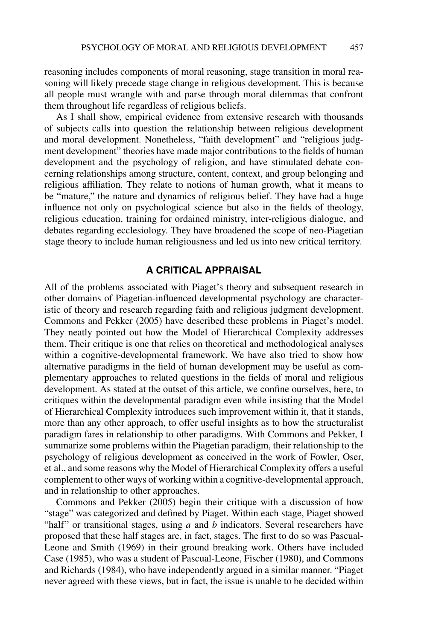reasoning includes components of moral reasoning, stage transition in moral reasoning will likely precede stage change in religious development. This is because all people must wrangle with and parse through moral dilemmas that confront them throughout life regardless of religious beliefs.

As I shall show, empirical evidence from extensive research with thousands of subjects calls into question the relationship between religious development and moral development. Nonetheless, "faith development" and "religious judgment development" theories have made major contributions to the fields of human development and the psychology of religion, and have stimulated debate concerning relationships among structure, content, context, and group belonging and religious affiliation. They relate to notions of human growth, what it means to be "mature," the nature and dynamics of religious belief. They have had a huge influence not only on psychological science but also in the fields of theology, religious education, training for ordained ministry, inter-religious dialogue, and debates regarding ecclesiology. They have broadened the scope of neo-Piagetian stage theory to include human religiousness and led us into new critical territory.

# **A CRITICAL APPRAISAL**

All of the problems associated with Piaget's theory and subsequent research in other domains of Piagetian-influenced developmental psychology are characteristic of theory and research regarding faith and religious judgment development. Commons and Pekker (2005) have described these problems in Piaget's model. They neatly pointed out how the Model of Hierarchical Complexity addresses them. Their critique is one that relies on theoretical and methodological analyses within a cognitive-developmental framework. We have also tried to show how alternative paradigms in the field of human development may be useful as complementary approaches to related questions in the fields of moral and religious development. As stated at the outset of this article, we confine ourselves, here, to critiques within the developmental paradigm even while insisting that the Model of Hierarchical Complexity introduces such improvement within it, that it stands, more than any other approach, to offer useful insights as to how the structuralist paradigm fares in relationship to other paradigms. With Commons and Pekker, I summarize some problems within the Piagetian paradigm, their relationship to the psychology of religious development as conceived in the work of Fowler, Oser, et al., and some reasons why the Model of Hierarchical Complexity offers a useful complement to other ways of working within a cognitive-developmental approach, and in relationship to other approaches.

Commons and Pekker (2005) begin their critique with a discussion of how "stage" was categorized and defined by Piaget. Within each stage, Piaget showed "half" or transitional stages, using *a* and *b* indicators. Several researchers have proposed that these half stages are, in fact, stages. The first to do so was Pascual-Leone and Smith (1969) in their ground breaking work. Others have included Case (1985), who was a student of Pascual-Leone, Fischer (1980), and Commons and Richards (1984), who have independently argued in a similar manner. "Piaget never agreed with these views, but in fact, the issue is unable to be decided within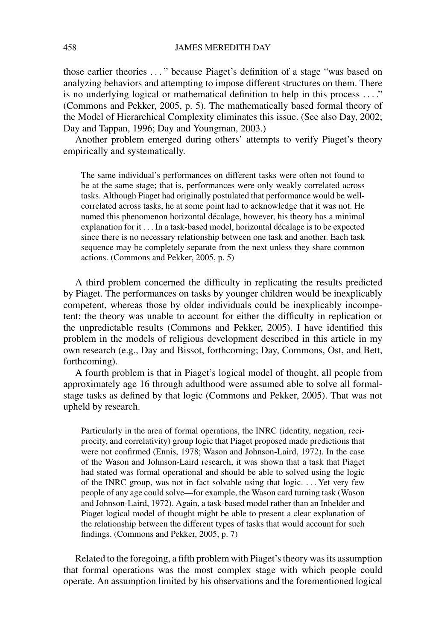those earlier theories . . . " because Piaget's definition of a stage "was based on analyzing behaviors and attempting to impose different structures on them. There is no underlying logical or mathematical definition to help in this process . . . ." (Commons and Pekker, 2005, p. 5). The mathematically based formal theory of the Model of Hierarchical Complexity eliminates this issue. (See also Day, 2002; Day and Tappan, 1996; Day and Youngman, 2003.)

Another problem emerged during others' attempts to verify Piaget's theory empirically and systematically.

The same individual's performances on different tasks were often not found to be at the same stage; that is, performances were only weakly correlated across tasks. Although Piaget had originally postulated that performance would be wellcorrelated across tasks, he at some point had to acknowledge that it was not. He named this phenomenon horizontal décalage, however, his theory has a minimal explanation for it  $\dots$  In a task-based model, horizontal décalage is to be expected since there is no necessary relationship between one task and another. Each task sequence may be completely separate from the next unless they share common actions. (Commons and Pekker, 2005, p. 5)

A third problem concerned the difficulty in replicating the results predicted by Piaget. The performances on tasks by younger children would be inexplicably competent, whereas those by older individuals could be inexplicably incompetent: the theory was unable to account for either the difficulty in replication or the unpredictable results (Commons and Pekker, 2005). I have identified this problem in the models of religious development described in this article in my own research (e.g., Day and Bissot, forthcoming; Day, Commons, Ost, and Bett, forthcoming).

A fourth problem is that in Piaget's logical model of thought, all people from approximately age 16 through adulthood were assumed able to solve all formalstage tasks as defined by that logic (Commons and Pekker, 2005). That was not upheld by research.

Particularly in the area of formal operations, the INRC (identity, negation, reciprocity, and correlativity) group logic that Piaget proposed made predictions that were not confirmed (Ennis, 1978; Wason and Johnson-Laird, 1972). In the case of the Wason and Johnson-Laird research, it was shown that a task that Piaget had stated was formal operational and should be able to solved using the logic of the INRC group, was not in fact solvable using that logic. . . . Yet very few people of any age could solve—for example, the Wason card turning task (Wason and Johnson-Laird, 1972). Again, a task-based model rather than an Inhelder and Piaget logical model of thought might be able to present a clear explanation of the relationship between the different types of tasks that would account for such findings. (Commons and Pekker, 2005, p. 7)

Related to the foregoing, a fifth problem with Piaget's theory was its assumption that formal operations was the most complex stage with which people could operate. An assumption limited by his observations and the forementioned logical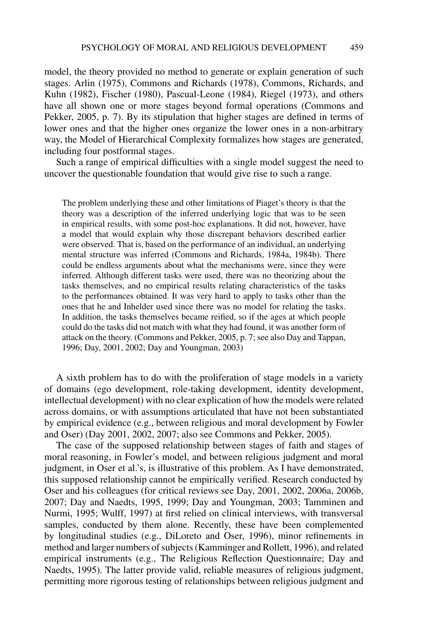model, the theory provided no method to generate or explain generation of such stages. Arlin (1975), Commons and Richards (1978), Commons, Richards, and Kuhn (1982), Fischer (1980), Pascual-Leone (1984), Riegel (1973), and others have all shown one or more stages beyond formal operations (Commons and Pekker, 2005, p. 7). By its stipulation that higher stages are defined in terms of lower ones and that the higher ones organize the lower ones in a non-arbitrary way, the Model of Hierarchical Complexity formalizes how stages are generated, including four postformal stages.

Such a range of empirical difficulties with a single model suggest the need to uncover the questionable foundation that would give rise to such a range.

The problem underlying these and other limitations of Piaget's theory is that the theory was a description of the inferred underlying logic that was to be seen in empirical results, with some post-hoc explanations. It did not, however, have a model that would explain why those discrepant behaviors described earlier were observed. That is, based on the performance of an individual, an underlying mental structure was inferred (Commons and Richards, 1984a, 1984b). There could be endless arguments about what the mechanisms were, since they were inferred. Although different tasks were used, there was no theorizing about the tasks themselves, and no empirical results relating characteristics of the tasks to the performances obtained. It was very hard to apply to tasks other than the ones that he and Inhelder used since there was no model for relating the tasks. In addition, the tasks themselves became reified, so if the ages at which people could do the tasks did not match with what they had found, it was another form of attack on the theory. (Commons and Pekker, 2005, p. 7; see also Day and Tappan, 1996; Day, 2001, 2002; Day and Youngman, 2003)

A sixth problem has to do with the proliferation of stage models in a variety of domains (ego development, role-taking development, identity development, intellectual development) with no clear explication of how the models were related across domains, or with assumptions articulated that have not been substantiated by empirical evidence (e.g., between religious and moral development by Fowler and Oser) (Day 2001, 2002, 2007; also see Commons and Pekker, 2005).

The case of the supposed relationship between stages of faith and stages of moral reasoning, in Fowler's model, and between religious judgment and moral judgment, in Oser et al.'s, is illustrative of this problem. As I have demonstrated, this supposed relationship cannot be empirically verified. Research conducted by Oser and his colleagues (for critical reviews see Day, 2001, 2002, 2006a, 2006b, 2007; Day and Naedts, 1995, 1999; Day and Youngman, 2003; Tamminen and Nurmi, 1995; Wulff, 1997) at first relied on clinical interviews, with transversal samples, conducted by them alone. Recently, these have been complemented by longitudinal studies (e.g., DiLoreto and Oser, 1996), minor refinements in method and larger numbers of subjects (Kamminger and Rollett, 1996), and related empirical instruments (e.g., The Religious Reflection Questionnaire; Day and Naedts, 1995). The latter provide valid, reliable measures of religious judgment, permitting more rigorous testing of relationships between religious judgment and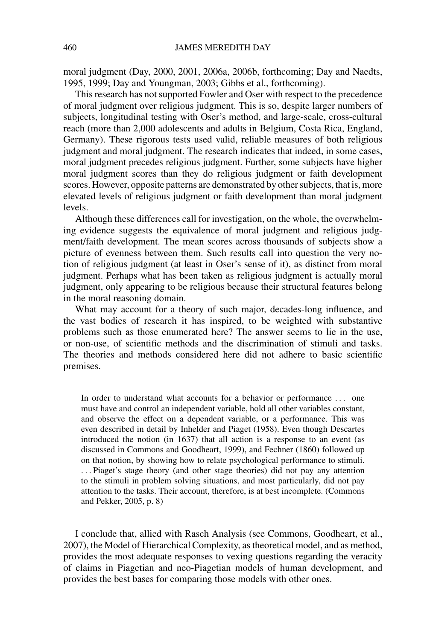moral judgment (Day, 2000, 2001, 2006a, 2006b, forthcoming; Day and Naedts, 1995, 1999; Day and Youngman, 2003; Gibbs et al., forthcoming).

This research has not supported Fowler and Oser with respect to the precedence of moral judgment over religious judgment. This is so, despite larger numbers of subjects, longitudinal testing with Oser's method, and large-scale, cross-cultural reach (more than 2,000 adolescents and adults in Belgium, Costa Rica, England, Germany). These rigorous tests used valid, reliable measures of both religious judgment and moral judgment. The research indicates that indeed, in some cases, moral judgment precedes religious judgment. Further, some subjects have higher moral judgment scores than they do religious judgment or faith development scores. However, opposite patterns are demonstrated by other subjects, that is, more elevated levels of religious judgment or faith development than moral judgment levels.

Although these differences call for investigation, on the whole, the overwhelming evidence suggests the equivalence of moral judgment and religious judgment/faith development. The mean scores across thousands of subjects show a picture of evenness between them. Such results call into question the very notion of religious judgment (at least in Oser's sense of it), as distinct from moral judgment. Perhaps what has been taken as religious judgment is actually moral judgment, only appearing to be religious because their structural features belong in the moral reasoning domain.

What may account for a theory of such major, decades-long influence, and the vast bodies of research it has inspired, to be weighted with substantive problems such as those enumerated here? The answer seems to lie in the use, or non-use, of scientific methods and the discrimination of stimuli and tasks. The theories and methods considered here did not adhere to basic scientific premises.

In order to understand what accounts for a behavior or performance . . . one must have and control an independent variable, hold all other variables constant, and observe the effect on a dependent variable, or a performance. This was even described in detail by Inhelder and Piaget (1958). Even though Descartes introduced the notion (in 1637) that all action is a response to an event (as discussed in Commons and Goodheart, 1999), and Fechner (1860) followed up on that notion, by showing how to relate psychological performance to stimuli. . . . Piaget's stage theory (and other stage theories) did not pay any attention to the stimuli in problem solving situations, and most particularly, did not pay attention to the tasks. Their account, therefore, is at best incomplete. (Commons and Pekker, 2005, p. 8)

I conclude that, allied with Rasch Analysis (see Commons, Goodheart, et al., 2007), the Model of Hierarchical Complexity, as theoretical model, and as method, provides the most adequate responses to vexing questions regarding the veracity of claims in Piagetian and neo-Piagetian models of human development, and provides the best bases for comparing those models with other ones.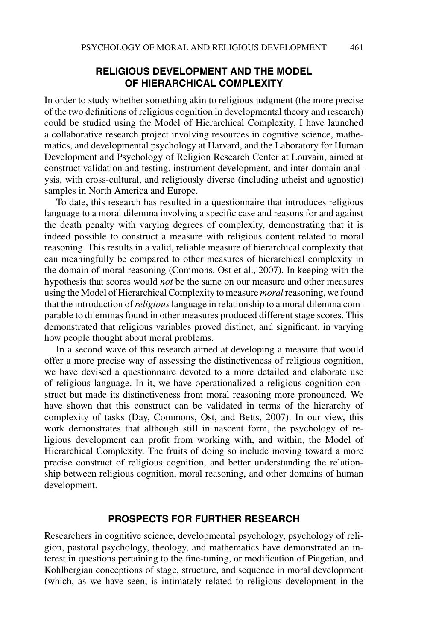# **RELIGIOUS DEVELOPMENT AND THE MODEL OF HIERARCHICAL COMPLEXITY**

In order to study whether something akin to religious judgment (the more precise of the two definitions of religious cognition in developmental theory and research) could be studied using the Model of Hierarchical Complexity, I have launched a collaborative research project involving resources in cognitive science, mathematics, and developmental psychology at Harvard, and the Laboratory for Human Development and Psychology of Religion Research Center at Louvain, aimed at construct validation and testing, instrument development, and inter-domain analysis, with cross-cultural, and religiously diverse (including atheist and agnostic) samples in North America and Europe.

To date, this research has resulted in a questionnaire that introduces religious language to a moral dilemma involving a specific case and reasons for and against the death penalty with varying degrees of complexity, demonstrating that it is indeed possible to construct a measure with religious content related to moral reasoning. This results in a valid, reliable measure of hierarchical complexity that can meaningfully be compared to other measures of hierarchical complexity in the domain of moral reasoning (Commons, Ost et al., 2007). In keeping with the hypothesis that scores would *not* be the same on our measure and other measures using the Model of Hierarchical Complexity to measure *moral*reasoning, we found that the introduction of*religious*language in relationship to a moral dilemma comparable to dilemmas found in other measures produced different stage scores. This demonstrated that religious variables proved distinct, and significant, in varying how people thought about moral problems.

In a second wave of this research aimed at developing a measure that would offer a more precise way of assessing the distinctiveness of religious cognition, we have devised a questionnaire devoted to a more detailed and elaborate use of religious language. In it, we have operationalized a religious cognition construct but made its distinctiveness from moral reasoning more pronounced. We have shown that this construct can be validated in terms of the hierarchy of complexity of tasks (Day, Commons, Ost, and Betts, 2007). In our view, this work demonstrates that although still in nascent form, the psychology of religious development can profit from working with, and within, the Model of Hierarchical Complexity. The fruits of doing so include moving toward a more precise construct of religious cognition, and better understanding the relationship between religious cognition, moral reasoning, and other domains of human development.

# **PROSPECTS FOR FURTHER RESEARCH**

Researchers in cognitive science, developmental psychology, psychology of religion, pastoral psychology, theology, and mathematics have demonstrated an interest in questions pertaining to the fine-tuning, or modification of Piagetian, and Kohlbergian conceptions of stage, structure, and sequence in moral development (which, as we have seen, is intimately related to religious development in the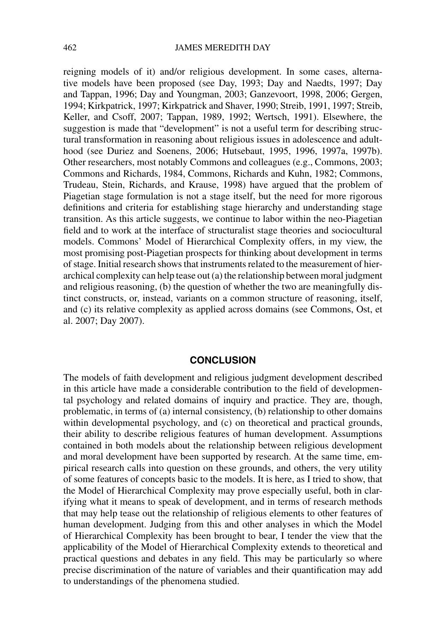reigning models of it) and/or religious development. In some cases, alternative models have been proposed (see Day, 1993; Day and Naedts, 1997; Day and Tappan, 1996; Day and Youngman, 2003; Ganzevoort, 1998, 2006; Gergen, 1994; Kirkpatrick, 1997; Kirkpatrick and Shaver, 1990; Streib, 1991, 1997; Streib, Keller, and Csoff, 2007; Tappan, 1989, 1992; Wertsch, 1991). Elsewhere, the suggestion is made that "development" is not a useful term for describing structural transformation in reasoning about religious issues in adolescence and adulthood (see Duriez and Soenens, 2006; Hutsebaut, 1995, 1996, 1997a, 1997b). Other researchers, most notably Commons and colleagues (e.g., Commons, 2003; Commons and Richards, 1984, Commons, Richards and Kuhn, 1982; Commons, Trudeau, Stein, Richards, and Krause, 1998) have argued that the problem of Piagetian stage formulation is not a stage itself, but the need for more rigorous definitions and criteria for establishing stage hierarchy and understanding stage transition. As this article suggests, we continue to labor within the neo-Piagetian field and to work at the interface of structuralist stage theories and sociocultural models. Commons' Model of Hierarchical Complexity offers, in my view, the most promising post-Piagetian prospects for thinking about development in terms of stage. Initial research shows that instruments related to the measurement of hierarchical complexity can help tease out (a) the relationship between moral judgment and religious reasoning, (b) the question of whether the two are meaningfully distinct constructs, or, instead, variants on a common structure of reasoning, itself, and (c) its relative complexity as applied across domains (see Commons, Ost, et al. 2007; Day 2007).

### **CONCLUSION**

The models of faith development and religious judgment development described in this article have made a considerable contribution to the field of developmental psychology and related domains of inquiry and practice. They are, though, problematic, in terms of (a) internal consistency, (b) relationship to other domains within developmental psychology, and (c) on theoretical and practical grounds, their ability to describe religious features of human development. Assumptions contained in both models about the relationship between religious development and moral development have been supported by research. At the same time, empirical research calls into question on these grounds, and others, the very utility of some features of concepts basic to the models. It is here, as I tried to show, that the Model of Hierarchical Complexity may prove especially useful, both in clarifying what it means to speak of development, and in terms of research methods that may help tease out the relationship of religious elements to other features of human development. Judging from this and other analyses in which the Model of Hierarchical Complexity has been brought to bear, I tender the view that the applicability of the Model of Hierarchical Complexity extends to theoretical and practical questions and debates in any field. This may be particularly so where precise discrimination of the nature of variables and their quantification may add to understandings of the phenomena studied.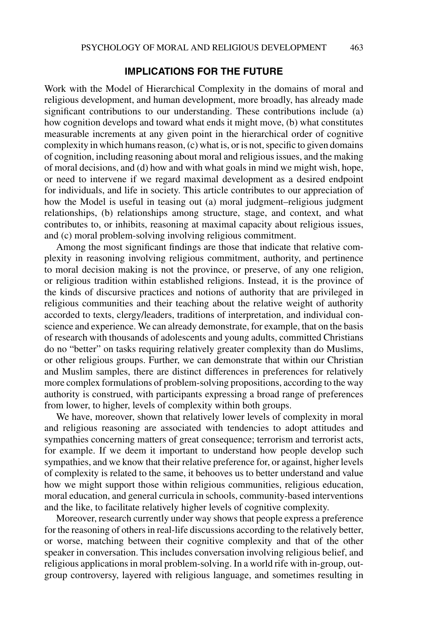### **IMPLICATIONS FOR THE FUTURE**

Work with the Model of Hierarchical Complexity in the domains of moral and religious development, and human development, more broadly, has already made significant contributions to our understanding. These contributions include (a) how cognition develops and toward what ends it might move, (b) what constitutes measurable increments at any given point in the hierarchical order of cognitive complexity in which humans reason, (c) what is, or is not, specific to given domains of cognition, including reasoning about moral and religious issues, and the making of moral decisions, and (d) how and with what goals in mind we might wish, hope, or need to intervene if we regard maximal development as a desired endpoint for individuals, and life in society. This article contributes to our appreciation of how the Model is useful in teasing out (a) moral judgment–religious judgment relationships, (b) relationships among structure, stage, and context, and what contributes to, or inhibits, reasoning at maximal capacity about religious issues, and (c) moral problem-solving involving religious commitment.

Among the most significant findings are those that indicate that relative complexity in reasoning involving religious commitment, authority, and pertinence to moral decision making is not the province, or preserve, of any one religion, or religious tradition within established religions. Instead, it is the province of the kinds of discursive practices and notions of authority that are privileged in religious communities and their teaching about the relative weight of authority accorded to texts, clergy/leaders, traditions of interpretation, and individual conscience and experience. We can already demonstrate, for example, that on the basis of research with thousands of adolescents and young adults, committed Christians do no "better" on tasks requiring relatively greater complexity than do Muslims, or other religious groups. Further, we can demonstrate that within our Christian and Muslim samples, there are distinct differences in preferences for relatively more complex formulations of problem-solving propositions, according to the way authority is construed, with participants expressing a broad range of preferences from lower, to higher, levels of complexity within both groups.

We have, moreover, shown that relatively lower levels of complexity in moral and religious reasoning are associated with tendencies to adopt attitudes and sympathies concerning matters of great consequence; terrorism and terrorist acts, for example. If we deem it important to understand how people develop such sympathies, and we know that their relative preference for, or against, higher levels of complexity is related to the same, it behooves us to better understand and value how we might support those within religious communities, religious education, moral education, and general curricula in schools, community-based interventions and the like, to facilitate relatively higher levels of cognitive complexity.

Moreover, research currently under way shows that people express a preference for the reasoning of others in real-life discussions according to the relatively better, or worse, matching between their cognitive complexity and that of the other speaker in conversation. This includes conversation involving religious belief, and religious applications in moral problem-solving. In a world rife with in-group, outgroup controversy, layered with religious language, and sometimes resulting in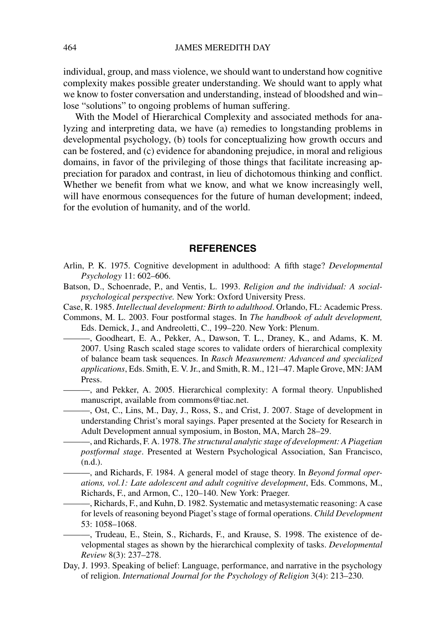individual, group, and mass violence, we should want to understand how cognitive complexity makes possible greater understanding. We should want to apply what we know to foster conversation and understanding, instead of bloodshed and win– lose "solutions" to ongoing problems of human suffering.

With the Model of Hierarchical Complexity and associated methods for analyzing and interpreting data, we have (a) remedies to longstanding problems in developmental psychology, (b) tools for conceptualizing how growth occurs and can be fostered, and (c) evidence for abandoning prejudice, in moral and religious domains, in favor of the privileging of those things that facilitate increasing appreciation for paradox and contrast, in lieu of dichotomous thinking and conflict. Whether we benefit from what we know, and what we know increasingly well, will have enormous consequences for the future of human development; indeed, for the evolution of humanity, and of the world.

### **REFERENCES**

- Arlin, P. K. 1975. Cognitive development in adulthood: A fifth stage? *Developmental Psychology* 11: 602–606.
- Batson, D., Schoenrade, P., and Ventis, L. 1993. *Religion and the individual: A socialpsychological perspective.* New York: Oxford University Press.
- Case, R. 1985. *Intellectual development: Birth to adulthood*. Orlando, FL: Academic Press.
- Commons, M. L. 2003. Four postformal stages. In *The handbook of adult development,* Eds. Demick, J., and Andreoletti, C., 199–220. New York: Plenum.
	- ———, Goodheart, E. A., Pekker, A., Dawson, T. L., Draney, K., and Adams, K. M. 2007. Using Rasch scaled stage scores to validate orders of hierarchical complexity of balance beam task sequences. In *Rasch Measurement: Advanced and specialized applications*, Eds. Smith, E. V. Jr., and Smith, R. M., 121–47. Maple Grove, MN: JAM Press.
- ———, and Pekker, A. 2005. Hierarchical complexity: A formal theory. Unpublished manuscript, available from commons@tiac.net.
	- ———, Ost, C., Lins, M., Day, J., Ross, S., and Crist, J. 2007. Stage of development in understanding Christ's moral sayings. Paper presented at the Society for Research in Adult Development annual symposium, in Boston, MA, March 28–29.
	- ———, and Richards, F. A. 1978. *The structural analytic stage of development: A Piagetian postformal stage*. Presented at Western Psychological Association, San Francisco, (n.d.).
	- ———, and Richards, F. 1984. A general model of stage theory. In *Beyond formal operations, vol.1: Late adolescent and adult cognitive development*, Eds. Commons, M., Richards, F., and Armon, C., 120–140. New York: Praeger.
	- ———, Richards, F., and Kuhn, D. 1982. Systematic and metasystematic reasoning: A case for levels of reasoning beyond Piaget's stage of formal operations. *Child Development* 53: 1058–1068.
	- ———, Trudeau, E., Stein, S., Richards, F., and Krause, S. 1998. The existence of developmental stages as shown by the hierarchical complexity of tasks. *Developmental Review* 8(3): 237–278.
- Day, J. 1993. Speaking of belief: Language, performance, and narrative in the psychology of religion. *International Journal for the Psychology of Religion* 3(4): 213–230.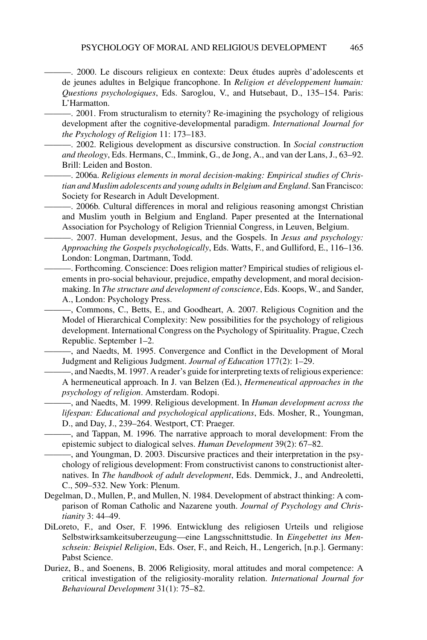- 2000. Le discours religieux en contexte: Deux études auprès d'adolescents et de jeunes adultes in Belgique francophone. In *Religion et developpement humain: ´ Questions psychologiques*, Eds. Saroglou, V., and Hutsebaut, D., 135–154. Paris: L'Harmatton.

———. 2001. From structuralism to eternity? Re-imagining the psychology of religious development after the cognitive-developmental paradigm. *International Journal for the Psychology of Religion* 11: 173–183.

- ———. 2002. Religious development as discursive construction. In *Social construction and theology*, Eds. Hermans, C., Immink, G., de Jong, A., and van der Lans, J., 63–92. Brill: Leiden and Boston.
- $-$ . 2006a. Religious elements in moral decision-making: Empirical studies of Chris*tian and Muslim adolescents and young adults in Belgium and England*. San Francisco: Society for Research in Adult Development.

———. 2006b. Cultural differences in moral and religious reasoning amongst Christian and Muslim youth in Belgium and England. Paper presented at the International Association for Psychology of Religion Triennial Congress, in Leuven, Belgium.

———. 2007. Human development, Jesus, and the Gospels. In *Jesus and psychology: Approaching the Gospels psychologically*, Eds. Watts, F., and Gulliford, E., 116–136. London: Longman, Dartmann, Todd.

- ———. Forthcoming. Conscience: Does religion matter? Empirical studies of religious elements in pro-social behaviour, prejudice, empathy development, and moral decisionmaking. In *The structure and development of conscience*, Eds. Koops, W., and Sander, A*.*, London: Psychology Press.
- ———, Commons, C., Betts, E., and Goodheart, A. 2007. Religious Cognition and the Model of Hierarchical Complexity: New possibilities for the psychology of religious development. International Congress on the Psychology of Spirituality. Prague, Czech Republic. September 1–2.
- ———, and Naedts, M. 1995. Convergence and Conflict in the Development of Moral Judgment and Religious Judgment. *Journal of Education* 177(2): 1–29.
	- ———, and Naedts, M. 1997. A reader's guide for interpreting texts of religious experience: A hermeneutical approach. In J. van Belzen (Ed.), *Hermeneutical approaches in the psychology of religion*. Amsterdam. Rodopi.
	- ———, and Naedts, M. 1999. Religious development. In *Human development across the lifespan: Educational and psychological applications*, Eds. Mosher, R., Youngman, D., and Day, J., 239–264. Westport, CT: Praeger.

———, and Tappan, M. 1996. The narrative approach to moral development: From the epistemic subject to dialogical selves. *Human Development* 39(2): 67–82.

- ———, and Youngman, D. 2003. Discursive practices and their interpretation in the psychology of religious development: From constructivist canons to constructionist alternatives. In *The handbook of adult development*, Eds. Demmick, J., and Andreoletti, C., 509–532. New York: Plenum.
- Degelman, D., Mullen, P., and Mullen, N. 1984. Development of abstract thinking: A comparison of Roman Catholic and Nazarene youth. *Journal of Psychology and Christianity* 3: 44–49.
- DiLoreto, F., and Oser, F. 1996. Entwicklung des religiosen Urteils und religiose Selbstwirksamkeitsuberzeugung—eine Langsschnittstudie. In *Eingebettet ins Menschsein: Beispiel Religion*, Eds. Oser, F., and Reich, H., Lengerich, [n.p.]. Germany: Pabst Science.
- Duriez, B., and Soenens, B. 2006 Religiosity, moral attitudes and moral competence: A critical investigation of the religiosity-morality relation. *International Journal for Behavioural Development* 31(1): 75–82.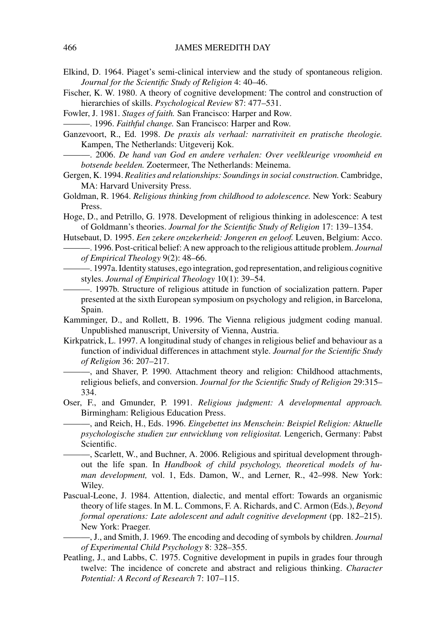- Elkind, D. 1964. Piaget's semi-clinical interview and the study of spontaneous religion. *Journal for the Scientific Study of Religion* 4: 40–46.
- Fischer, K. W. 1980. A theory of cognitive development: The control and construction of hierarchies of skills. *Psychological Review* 87: 477–531.
- Fowler, J. 1981. *Stages of faith.* San Francisco: Harper and Row.
- ———. 1996. *Faithful change.* San Francisco: Harper and Row.
- Ganzevoort, R., Ed. 1998. *De praxis als verhaal: narrativiteit en pratische theologie.* Kampen, The Netherlands: Uitgeverij Kok.
	- ———. 2006. *De hand van God en andere verhalen: Over veelkleurige vroomheid en botsende beelden.* Zoetermeer, The Netherlands: Meinema.
- Gergen, K. 1994. *Realities and relationships: Soundings in social construction.* Cambridge, MA: Harvard University Press.
- Goldman, R. 1964. *Religious thinking from childhood to adolescence.* New York: Seabury Press.
- Hoge, D., and Petrillo, G. 1978. Development of religious thinking in adolescence: A test of Goldmann's theories. *Journal for the Scientific Study of Religion* 17: 139–1354.
- Hutsebaut, D. 1995. *Een zekere onzekerheid: Jongeren en geloof.* Leuven, Belgium: Acco. ———. 1996. Post-critical belief: A new approach to the religious attitude problem. *Journal of Empirical Theology* 9(2): 48–66.
	- ———. 1997a. Identity statuses, ego integration, god representation, and religious cognitive styles. *Journal of Empirical Theology* 10(1): 39–54.
	- ———. 1997b. Structure of religious attitude in function of socialization pattern. Paper presented at the sixth European symposium on psychology and religion, in Barcelona, Spain.
- Kamminger, D., and Rollett, B. 1996. The Vienna religious judgment coding manual. Unpublished manuscript, University of Vienna, Austria.
- Kirkpatrick, L. 1997. A longitudinal study of changes in religious belief and behaviour as a function of individual differences in attachment style. *Journal for the Scientific Study of Religion* 36: 207–217.
	- ———, and Shaver, P. 1990. Attachment theory and religion: Childhood attachments, religious beliefs, and conversion. *Journal for the Scientific Study of Religion* 29:315– 334.
- Oser, F., and Gmunder, P. 1991. *Religious judgment: A developmental approach.* Birmingham: Religious Education Press.
	- ———, and Reich, H., Eds. 1996. *Eingebettet ins Menschein: Beispiel Religion: Aktuelle psychologische studien zur entwicklung von religiositat.* Lengerich, Germany: Pabst Scientific.

———, Scarlett, W., and Buchner, A. 2006. Religious and spiritual development throughout the life span. In *Handbook of child psychology, theoretical models of human development,* vol. 1, Eds. Damon, W., and Lerner, R., 42–998. New York: Wiley.

- Pascual-Leone, J. 1984. Attention, dialectic, and mental effort: Towards an organismic theory of life stages. In M. L. Commons, F. A. Richards, and C. Armon (Eds.), *Beyond formal operations: Late adolescent and adult cognitive development* (pp. 182–215). New York: Praeger.
	- ———, J., and Smith, J. 1969. The encoding and decoding of symbols by children. *Journal of Experimental Child Psychology* 8: 328–355.
- Peatling, J., and Labbs, C. 1975. Cognitive development in pupils in grades four through twelve: The incidence of concrete and abstract and religious thinking. *Character Potential: A Record of Research* 7: 107–115.